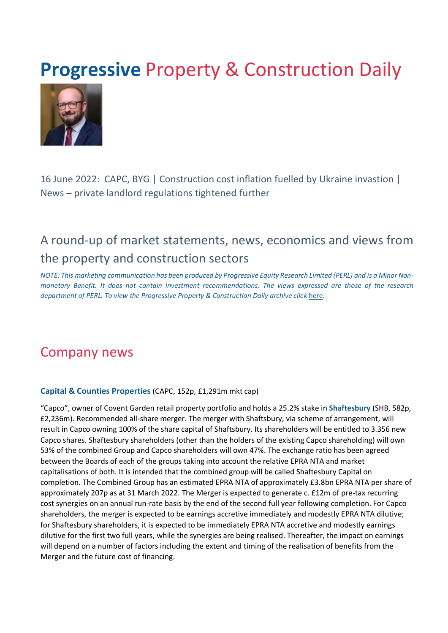# **Progressive Property & Construction Daily**



16 June 2022: CAPC, BYG | Construction cost inflation fuelled by Ukraine invastion | News – private landlord regulations tightened further

# A round-up of market statements, news, economics and views from the property and construction sectors

*NOTE: This marketing communication has been produced by Progressive Equity Research Limited (PERL) and is a Minor Nonmonetary Benefit. It does not contain investment recommendations. The views expressed are those of the research department of PERL. To view the Progressive Property & Construction Daily archive cli[ck](https://www.progressive-research.com/industry-updates/?analyst=§or=38&published=all) [here](https://www.progressive-research.com/industry-updates/?analyst=§or=38&published=all)[.](https://www.progressive-research.com/industry-updates/?analyst=§or=38&published=all)* 

# Company news

#### **Capital & Counties Properties** (CAPC, 152p, £1,291m mkt cap)

"Capco", owner of Covent Garden retail property portfolio and holds a 25.2% stake in **Shaftesbury** (SHB, 582p, £2,236m). Recommended all-share merger. The merger with Shaftsbury, via scheme of arrangement, will result in Capco owning 100% of the share capital of Shaftsbury. Its shareholders will be entitled to 3.356 new Capco shares. Shaftesbury shareholders (other than the holders of the existing Capco shareholding) will own 53% of the combined Group and Capco shareholders will own 47%. The exchange ratio has been agreed between the Boards of each of the groups taking into account the relative EPRA NTA and market capitalisations of both. It is intended that the combined group will be called Shaftesbury Capital on completion. The Combined Group has an estimated EPRA NTA of approximately £3.8bn EPRA NTA per share of approximately 207p as at 31 March 2022. The Merger is expected to generate c. £12m of pre-tax recurring cost synergies on an annual run-rate basis by the end of the second full year following completion. For Capco shareholders, the merger is expected to be earnings accretive immediately and modestly EPRA NTA dilutive; for Shaftesbury shareholders, it is expected to be immediately EPRA NTA accretive and modestly earnings dilutive for the first two full years, while the synergies are being realised. Thereafter, the impact on earnings will depend on a number of factors including the extent and timing of the realisation of benefits from the Merger and the future cost of financing.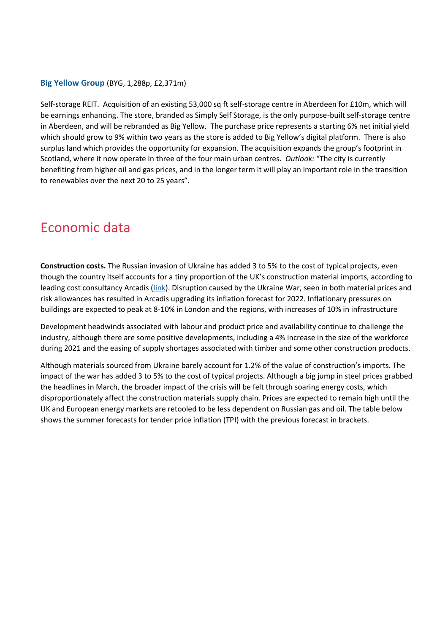#### **Big Yellow Group** (BYG, 1,288p, £2,371m)

Self-storage REIT. Acquisition of an existing 53,000 sq ft self-storage centre in Aberdeen for £10m, which will be earnings enhancing. The store, branded as Simply Self Storage, is the only purpose-built self-storage centre in Aberdeen, and will be rebranded as Big Yellow. The purchase price represents a starting 6% net initial yield which should grow to 9% within two years as the store is added to Big Yellow's digital platform. There is also surplus land which provides the opportunity for expansion. The acquisition expands the group's footprint in Scotland, where it now operate in three of the four main urban centres. *Outlook:* "The city is currently benefiting from higher oil and gas prices, and in the longer term it will play an important role in the transition to renewables over the next 20 to 25 years".

# Economic data

**Construction costs.** The Russian invasion of Ukraine has added 3 to 5% to the cost of typical projects, even though the country itself accounts for a tiny proportion of the UK's construction material imports, according to leading cost consultancy Arcadis [\(link\)](https://www.arcadis.com/en-gb/knowledge-hub/perspectives/europe/united-kingdom/2022/uk-summer-market-view-june-2022). Disruption caused by the Ukraine War, seen in both material prices and risk allowances has resulted in Arcadis upgrading its inflation forecast for 2022. Inflationary pressures on buildings are expected to peak at 8-10% in London and the regions, with increases of 10% in infrastructure

Development headwinds associated with labour and product price and availability continue to challenge the industry, although there are some positive developments, including a 4% increase in the size of the workforce during 2021 and the easing of supply shortages associated with timber and some other construction products.

Although materials sourced from Ukraine barely account for 1.2% of the value of construction's imports. The impact of the war has added 3 to 5% to the cost of typical projects. Although a big jump in steel prices grabbed the headlines in March, the broader impact of the crisis will be felt through soaring energy costs, which disproportionately affect the construction materials supply chain. Prices are expected to remain high until the UK and European energy markets are retooled to be less dependent on Russian gas and oil. The table below shows the summer forecasts for tender price inflation (TPI) with the previous forecast in brackets.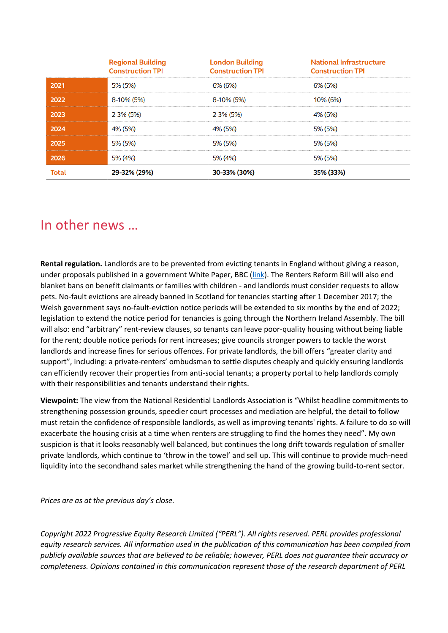|              | <b>Regional Building</b><br><b>Construction TPI</b> | <b>London Building</b><br><b>Construction TPI</b> | <b>National Infrastructure</b><br><b>Construction TPI</b> |
|--------------|-----------------------------------------------------|---------------------------------------------------|-----------------------------------------------------------|
| 2021         | 5% (5%)                                             | 6% (6%)                                           | 6% (6%)                                                   |
| 2022         | 8-10% (5%)                                          | 8-10% (5%)                                        | 10% (6%)                                                  |
| 2023         | 2-3% (5%)                                           | 2-3% (5%)                                         | 4% (6%)                                                   |
| 2024         | 4% (5%)                                             | 4% (5%)                                           | 5% (5%)                                                   |
| 2025         | 5% (5%)                                             | 5% (5%)                                           | 5% (5%)                                                   |
| 2026         | 5% (4%)                                             | 5% (4%)                                           | 5% (5%)                                                   |
| <b>Total</b> | 29-32% (29%)                                        | 30-33% (30%)                                      | 35% (33%)                                                 |

### In other news …

**Rental regulation.** Landlords are to be prevented from evicting tenants in England without giving a reason, under proposals published in a government White Paper, BBC [\(link\)](https://www.bbc.co.uk/news/uk-61817249). The Renters Reform Bill will also end blanket bans on benefit claimants or families with children - and landlords must consider requests to allow pets. No-fault evictions are already banned in Scotland for tenancies starting after 1 December 2017; the Welsh government says no-fault-eviction notice periods will be extended to six months by the end of 2022; legislation to extend the notice period for tenancies is going through the Northern Ireland Assembly. The bill will also: end "arbitrary" rent-review clauses, so tenants can leave poor-quality housing without being liable for the rent; double notice periods for rent increases; give councils stronger powers to tackle the worst landlords and increase fines for serious offences. For private landlords, the bill offers "greater clarity and support", including: a private-renters' ombudsman to settle disputes cheaply and quickly ensuring landlords can efficiently recover their properties from anti-social tenants; a property portal to help landlords comply with their responsibilities and tenants understand their rights.

**Viewpoint:** The view from the National Residential Landlords Association is "Whilst headline commitments to strengthening possession grounds, speedier court processes and mediation are helpful, the detail to follow must retain the confidence of responsible landlords, as well as improving tenants' rights. A failure to do so will exacerbate the housing crisis at a time when renters are struggling to find the homes they need". My own suspicion is that it looks reasonably well balanced, but continues the long drift towards regulation of smaller private landlords, which continue to 'throw in the towel' and sell up. This will continue to provide much-need liquidity into the secondhand sales market while strengthening the hand of the growing build-to-rent sector.

*Prices are as at the previous day's close.* 

*Copyright 2022 Progressive Equity Research Limited ("PERL"). All rights reserved. PERL provides professional equity research services. All information used in the publication of this communication has been compiled from publicly available sources that are believed to be reliable; however, PERL does not guarantee their accuracy or completeness. Opinions contained in this communication represent those of the research department of PERL*